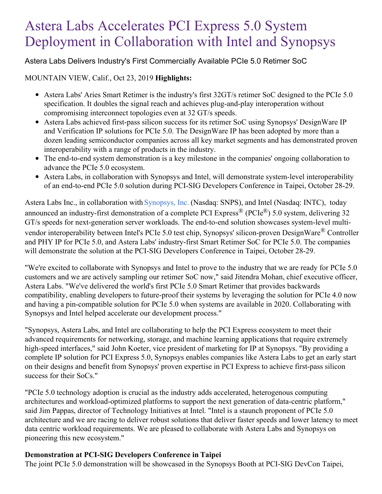# Astera Labs Accelerates PCI Express 5.0 System Deployment in Collaboration with Intel and Synopsys

# Astera Labs Delivers Industry's First Commercially Available PCIe 5.0 Retimer SoC

## MOUNTAIN VIEW, Calif., Oct 23, 2019 **Highlights:**

- Astera Labs' Aries Smart Retimer is the industry's first 32GT/s retimer SoC designed to the PCIe 5.0 specification. It doubles the signal reach and achieves plug-and-play interoperation without compromising interconnect topologies even at 32 GT/s speeds.
- Astera Labs achieved first-pass silicon success for its retimer SoC using Synopsys' DesignWare IP and Verification IP solutions for PCIe 5.0. The DesignWare IP has been adopted by more than a dozen leading semiconductor companies across all key market segments and has demonstrated proven interoperability with a range of products in the industry.
- The end-to-end system demonstration is a key milestone in the companies' ongoing collaboration to advance the PCIe 5.0 ecosystem.
- Astera Labs, in collaboration with Synopsys and Intel, will demonstrate system-level interoperability of an end-to-end PCIe 5.0 solution during PCI-SIG Developers Conference in Taipei, October 28-29.

Astera Labs Inc., in collaboration with [Synopsys,](https://c212.net/c/link/?t=0&l=en&o=2619305-1&h=3296085854&u=https%3A%2F%2Fwww.synopsys.com%2F&a=Synopsys%2C+Inc.) Inc. (Nasdaq: SNPS), and Intel (Nasdaq: INTC), today announced an industry-first demonstration of a complete PCI Express<sup>®</sup> (PCIe<sup>®</sup>) 5.0 system, delivering 32 GT/s speeds for next-generation server workloads. The end-to-end solution showcases system-level multivendor interoperability between Intel's PCIe 5.0 test chip, Synopsys' silicon-proven DesignWare® Controller and PHY IP for PCIe 5.0, and Astera Labs' industry-first Smart Retimer SoC for PCIe 5.0. The companies will demonstrate the solution at the PCI-SIG Developers Conference in Taipei, October 28-29.

"We're excited to collaborate with Synopsys and Intel to prove to the industry that we are ready for PCIe 5.0 customers and we are actively sampling our retimer SoC now," said Jitendra Mohan, chief executive officer, Astera Labs. "We've delivered the world's first PCIe 5.0 Smart Retimer that provides backwards compatibility, enabling developers to future-proof their systems by leveraging the solution for PCIe 4.0 now and having a pin-compatible solution for PCIe 5.0 when systems are available in 2020. Collaborating with Synopsys and Intel helped accelerate our development process."

"Synopsys, Astera Labs, and Intel are collaborating to help the PCI Express ecosystem to meet their advanced requirements for networking, storage, and machine learning applications that require extremely high-speed interfaces," said John Koeter, vice president of marketing for IP at Synopsys. "By providing a complete IP solution for PCI Express 5.0, Synopsys enables companies like Astera Labs to get an early start on their designs and benefit from Synopsys' proven expertise in PCI Express to achieve first-pass silicon success for their SoCs."

"PCIe 5.0 technology adoption is crucial as the industry adds accelerated, heterogenous computing architectures and workload-optimized platforms to support the next generation of data-centric platform," said Jim Pappas, director of Technology Initiatives at Intel. "Intel is a staunch proponent of PCIe 5.0 architecture and we are racing to deliver robust solutions that deliver faster speeds and lower latency to meet data centric workload requirements. We are pleased to collaborate with Astera Labs and Synopsys on pioneering this new ecosystem."

## **Demonstration at PCI-SIG Developers Conference in Taipei**

The joint PCIe 5.0 demonstration will be showcased in the Synopsys Booth at PCI-SIG DevCon Taipei,